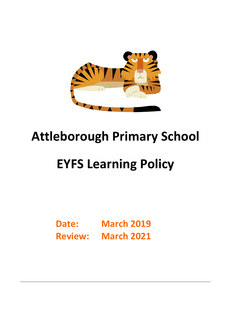

## **Attleborough Primary School**

# **EYFS Learning Policy**

**Date: March 2019 Review: March 2021**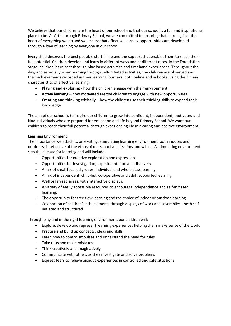We believe that our children are the heart of our school and that our school is a fun and inspirational place to be. At Attleborough Primary School, we are committed to ensuring that learning is at the heart of everything we do and we ensure that effective learning opportunities are developed through a love of learning by everyone in our school.

Every child deserves the best possible start in life and the support that enables them to reach their full potential. Children develop and learn in different ways and at different rates. In the Foundation Stage, children learn best through play based activities and first hand experiences. Throughout the day, and especially when learning through self-initiated activities, the children are observed and their achievements recorded in their learning journeys, both online and in books, using the 3 main characteristics of effective learning**:** 

- **- Playing and exploring**  how the children engage with their environment
- **- Active learning**  how motivated are the children to engage with new opportunities.
- **- Creating and thinking critically**  how the children use their thinking skills to expand their knowledge

The aim of our school is to inspire our children to grow into confident, independent, motivated and kind individuals who are prepared for education and life beyond Primary School. We want our children to reach their full potential through experiencing life in a caring and positive environment.

#### **Learning Environment**

The importance we attach to an exciting, stimulating learning environment, both indoors and outdoors, is reflective of the ethos of our school and its aims and values. A stimulating environment sets the climate for learning and will include:

- **-** Opportunities for creative exploration and expression
- **-** Opportunities for investigation, experimentation and discovery
- **-** A mix of small focused groups, individual and whole class learning
- **-** A mix of independent, child-led, co-operative and adult supported learning
- **-** Well organised areas, with interactive displays.
- **-** A variety of easily accessible resources to encourage independence and self-initiated learning.
- **-** The opportunity for free flow learning and the choice of indoor or outdoor learning
- **-** Celebration of children's achievements through displays of work and assemblies– both selfinitiated and structured

Through play and in the right learning environment, our children will:

- **-** Explore, develop and represent learning experiences helping them make sense of the world
- **-** Practise and build up concepts, ideas and skills
- **-** Learn how to control impulses and understand the need for rules
- **-** Take risks and make mistakes
- **-** Think creatively and imaginatively
- **-** Communicate with others as they investigate and solve problems
- **-** Express fears to relieve anxious experiences in controlled and safe situations